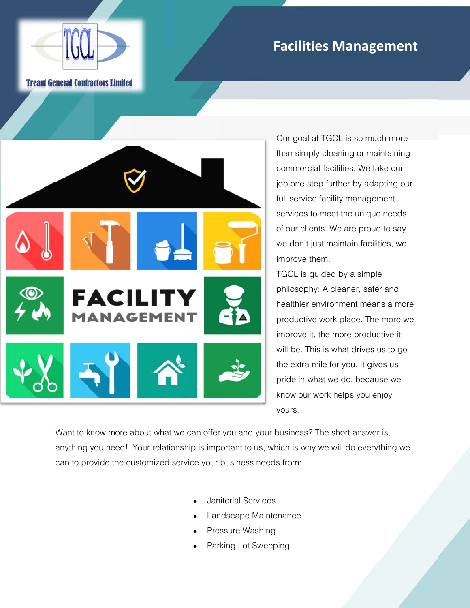## **Facilities Management**

**Tream General Contractors Limited** 



Our goal at TGCL is so much more than simply cleaning or maintaining commercial facilities. We take our job one step further by adapting our full service facility management services to meet the unique needs of our clients. We are proud to say we don't just maintain facilities, we improve them.

TGCL is guided by a simple philosophy: A cleaner, safer and healthier environment means a more productive work place. The more we improve it, the more productive it will be. This is what drives us to go the extra mile for you. It gives us pride in what we do, because we know our work helps you enjoy yours.

Want to know more about what we can offer you and your business? The short answer is, anything you need! Your relationship is important to us, which is why we will do everything we can to provide the customized service your business needs from:

- Janitorial Services
- Landscape Maintenance
- Pressure Washing
- Parking Lot Sweeping